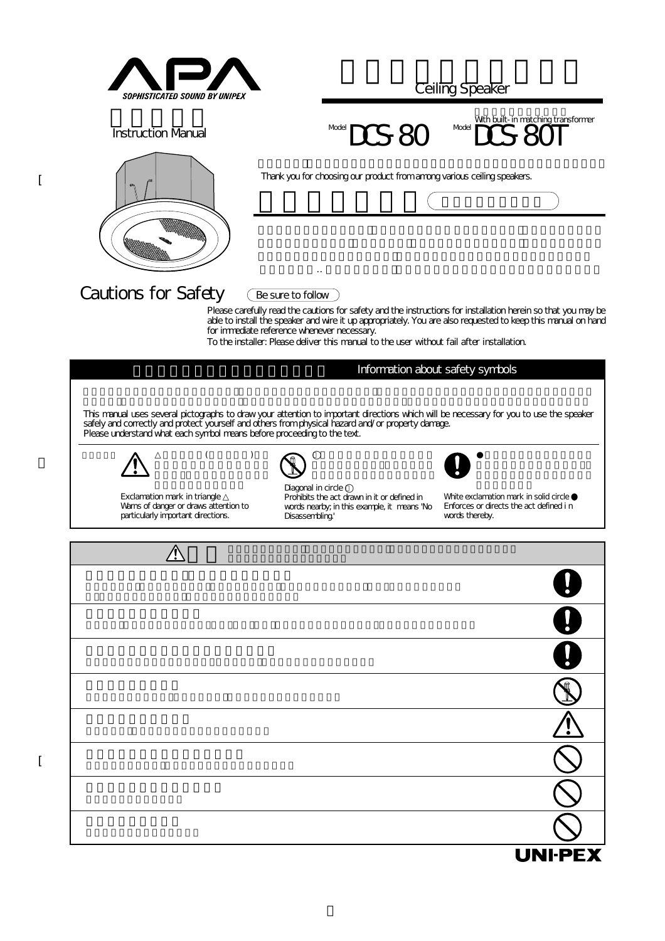

 $\sqrt{ }$ 

[

**Ceiling Speaker** 

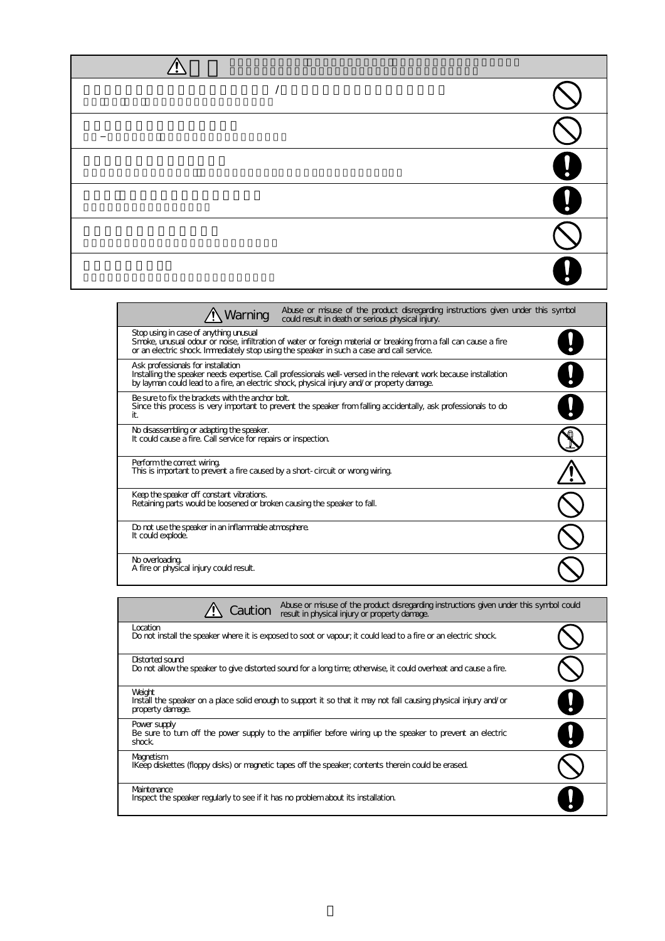| U<br>ŋ |
|--------|
| I.     |
|        |
|        |

| Abuse or misuse of the product disregarding instructions given under this symbol<br>Warning<br>could result in death or serious physical injury.                                                                                                         |  |
|----------------------------------------------------------------------------------------------------------------------------------------------------------------------------------------------------------------------------------------------------------|--|
| Stop using in case of anything unusual<br>Smoke, unusual odour or noise, infiltration of vater or foreign material or breaking from a fall can cause a fire<br>or an electric shock. Immediately stop using the speaker in such a case and call service. |  |
| Ask professionals for installation<br>Installing the speaker needs expertise. Call professionals well-versed in the relevant work because installation<br>by layman could lead to a fire, an electric shock, physical injury and/or property damage.     |  |
| Be sure to fix the brackets with the anchor bolt.<br>Since this process is very important to prevent the speaker from falling accidentally, ask professionals to do<br>it.                                                                               |  |
| No disassembling or adapting the speaker.<br>It could cause a fire. Call service for repairs or inspection.                                                                                                                                              |  |
| Perform the correct wiring.<br>This is important to prevent a fire caused by a short-circuit or wrong wiring.                                                                                                                                            |  |
| Keep the speaker off constant vibrations.<br>Retaining parts would be loosened or broken causing the speaker to fall.                                                                                                                                    |  |
| Do not use the speaker in an inflammable atmosphere.<br>It could explode.                                                                                                                                                                                |  |
| No overloading.<br>A fire or physical injury could result.                                                                                                                                                                                               |  |

| Abuse or misuse of the product disregarding instructions given under this symbol could<br>Caution<br>result in physical injury or property damage. |  |
|----------------------------------------------------------------------------------------------------------------------------------------------------|--|
| Location<br>Do not install the speaker where it is exposed to soot or vapour; it could lead to a fire or an electric shock.                        |  |
| Distorted sound<br>Do not allow the speaker to give distorted sound for a long time; otherwise, it could overheat and cause a fire.                |  |
| Weight<br>Install the speaker on a place solid enough to support it so that it may not fall causing physical injury and/or<br>property damage.     |  |
| Power supply<br>Be sure to turn off the power supply to the amplifier before wiring up the speaker to prevent an electric<br>shock.                |  |
| Magnetism<br>IKeep diskettes (floppy disks) or magnetic tapes off the speaker, contents therein could be erased.                                   |  |
| Maintenance<br>Inspect the speaker regularly to see if it has no problem about its installation.                                                   |  |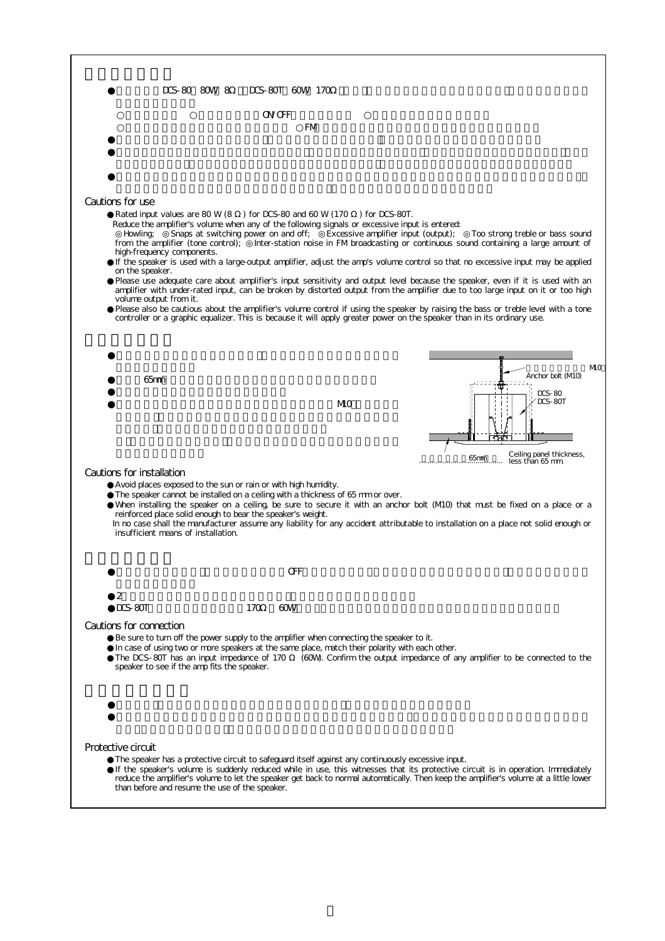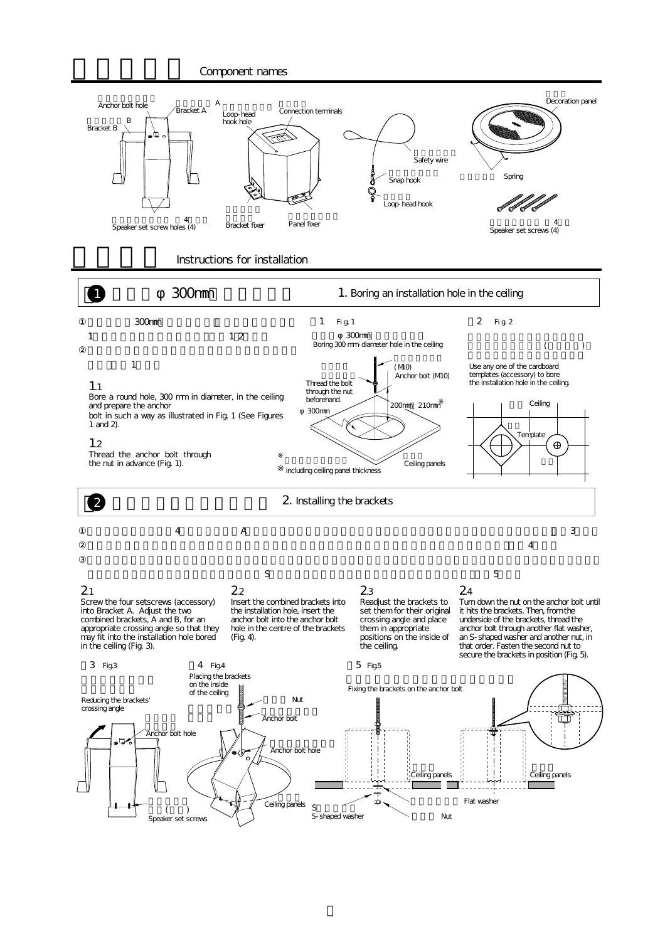## Component names



## Instructions for installation

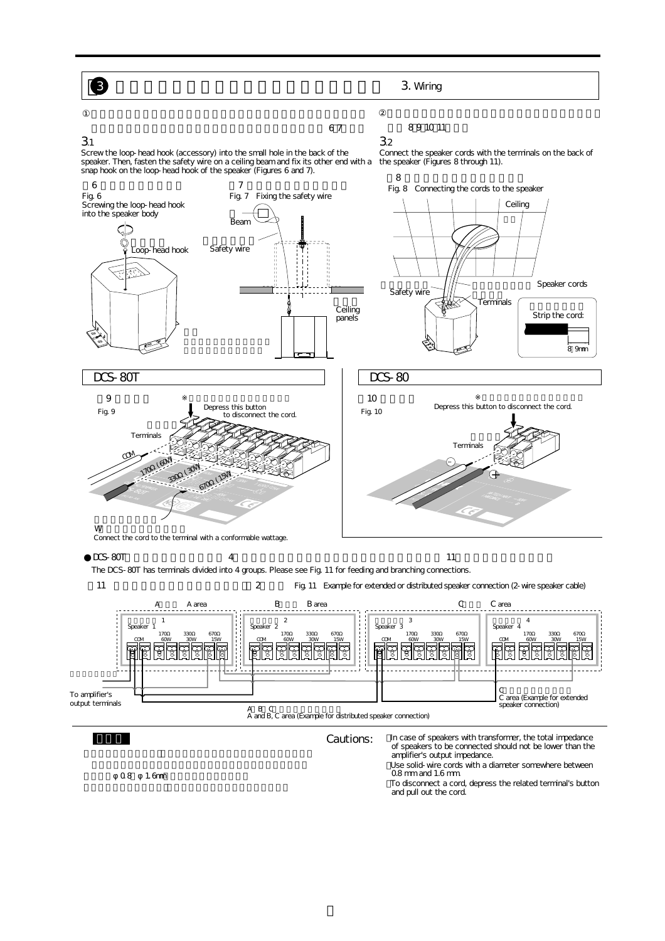6

31

## $\sim$  0.7  $\sim$  7

89 10 11

32 Connect the speaker cords with the terminals on the back of the speaker (Figures 8 through 11).

Screw the loop-head hook (accessory) into the small hole in the back of the<br>speaker. Then, fasten the safety wire on a ceiling beam and fix its other end with a<br>snap hook on the loop-head hook of the speaker (Figures 6 and

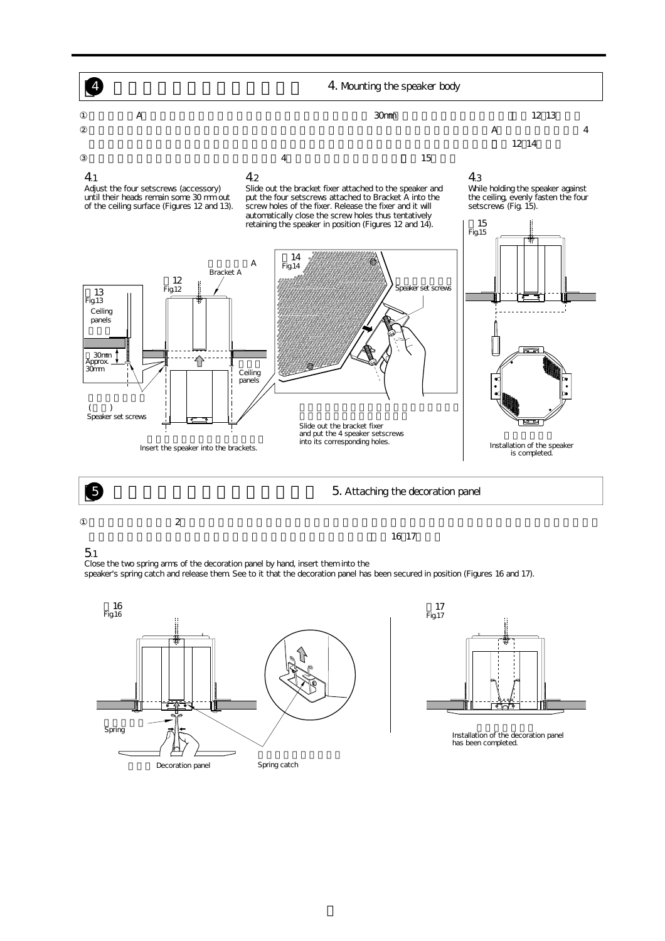

 $\overline{a}$ 

 $\sim$  16.17

5.1

Close the two spring arms of the decoration panel by hand, insert them into the

speaker's spring catch and release them. See to it that the decoration panel has been secured in position (Figures 16 and 17).





Installation of the decoration panel<br>has been completed.